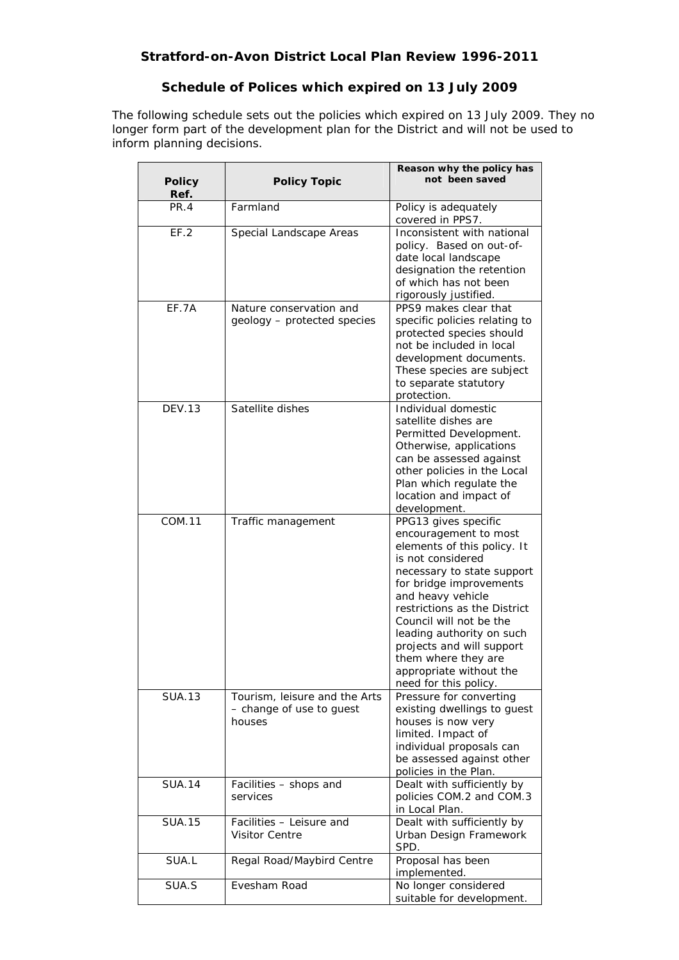## **Schedule of Polices which expired on 13 July 2009**

The following schedule sets out the policies which expired on 13 July 2009. They no longer form part of the development plan for the District and will not be used to inform planning decisions.

| <b>Policy</b> | <b>Policy Topic</b>                                                 | Reason why the policy has<br>not been saved                                                                                                                                                                                                                                                                                                                                     |
|---------------|---------------------------------------------------------------------|---------------------------------------------------------------------------------------------------------------------------------------------------------------------------------------------------------------------------------------------------------------------------------------------------------------------------------------------------------------------------------|
| Ref.          |                                                                     |                                                                                                                                                                                                                                                                                                                                                                                 |
| PR.4          | Farmland                                                            | Policy is adequately<br>covered in PPS7.                                                                                                                                                                                                                                                                                                                                        |
| EF.2          | Special Landscape Areas                                             | Inconsistent with national<br>policy. Based on out-of-<br>date local landscape<br>designation the retention<br>of which has not been<br>rigorously justified.                                                                                                                                                                                                                   |
| EF.7A         | Nature conservation and<br>geology - protected species              | PPS9 makes clear that<br>specific policies relating to<br>protected species should<br>not be included in local<br>development documents.<br>These species are subject<br>to separate statutory<br>protection.                                                                                                                                                                   |
| DEV.13        | Satellite dishes                                                    | Individual domestic<br>satellite dishes are<br>Permitted Development.<br>Otherwise, applications<br>can be assessed against<br>other policies in the Local<br>Plan which regulate the<br>location and impact of<br>development.                                                                                                                                                 |
| <b>COM.11</b> | Traffic management                                                  | PPG13 gives specific<br>encouragement to most<br>elements of this policy. It<br>is not considered<br>necessary to state support<br>for bridge improvements<br>and heavy vehicle<br>restrictions as the District<br>Council will not be the<br>leading authority on such<br>projects and will support<br>them where they are<br>appropriate without the<br>need for this policy. |
| <b>SUA.13</b> | Tourism, leisure and the Arts<br>- change of use to guest<br>houses | Pressure for converting<br>existing dwellings to guest<br>houses is now very<br>limited. Impact of<br>individual proposals can<br>be assessed against other<br>policies in the Plan.                                                                                                                                                                                            |
| <b>SUA.14</b> | Facilities - shops and<br>services                                  | Dealt with sufficiently by<br>policies COM.2 and COM.3<br>in Local Plan.                                                                                                                                                                                                                                                                                                        |
| <b>SUA.15</b> | Facilities - Leisure and<br><b>Visitor Centre</b>                   | Dealt with sufficiently by<br>Urban Design Framework<br>SPD.                                                                                                                                                                                                                                                                                                                    |
| SUA.L         | Regal Road/Maybird Centre                                           | Proposal has been<br>implemented.                                                                                                                                                                                                                                                                                                                                               |
| SUA.S         | Evesham Road                                                        | No longer considered<br>suitable for development.                                                                                                                                                                                                                                                                                                                               |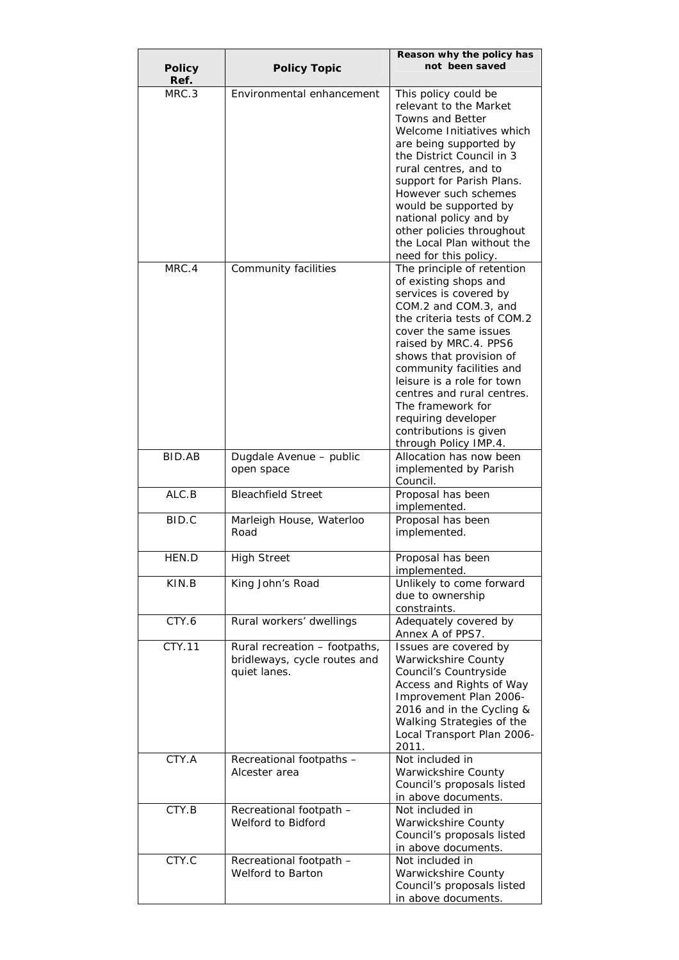| <b>Policy</b> | <b>Policy Topic</b>                                                           | Reason why the policy has<br>not been saved                                                                                                                                                                                                                                                                                                                                                              |
|---------------|-------------------------------------------------------------------------------|----------------------------------------------------------------------------------------------------------------------------------------------------------------------------------------------------------------------------------------------------------------------------------------------------------------------------------------------------------------------------------------------------------|
| Ref.<br>MRC.3 | Environmental enhancement                                                     | This policy could be<br>relevant to the Market<br><b>Towns and Better</b><br>Welcome Initiatives which<br>are being supported by<br>the District Council in 3<br>rural centres, and to<br>support for Parish Plans.<br>However such schemes<br>would be supported by<br>national policy and by<br>other policies throughout<br>the Local Plan without the<br>need for this policy.                       |
| MRC.4         | Community facilities                                                          | The principle of retention<br>of existing shops and<br>services is covered by<br>COM.2 and COM.3, and<br>the criteria tests of COM.2<br>cover the same issues<br>raised by MRC.4. PPS6<br>shows that provision of<br>community facilities and<br>leisure is a role for town<br>centres and rural centres.<br>The framework for<br>requiring developer<br>contributions is given<br>through Policy IMP.4. |
| BID.AB        | Dugdale Avenue - public<br>open space                                         | Allocation has now been<br>implemented by Parish<br>Council.                                                                                                                                                                                                                                                                                                                                             |
| ALC.B         | <b>Bleachfield Street</b>                                                     | Proposal has been<br>implemented.                                                                                                                                                                                                                                                                                                                                                                        |
| BID.C         | Marleigh House, Waterloo<br>Road                                              | Proposal has been<br>implemented.                                                                                                                                                                                                                                                                                                                                                                        |
| HEN.D         | <b>High Street</b>                                                            | Proposal has been<br>implemented.                                                                                                                                                                                                                                                                                                                                                                        |
| KIN.B         | King John's Road                                                              | Unlikely to come forward<br>due to ownership<br>constraints.                                                                                                                                                                                                                                                                                                                                             |
| CTY.6         | Rural workers' dwellings                                                      | Adequately covered by<br>Annex A of PPS7.                                                                                                                                                                                                                                                                                                                                                                |
| CTY.11        | Rural recreation - footpaths,<br>bridleways, cycle routes and<br>quiet lanes. | Issues are covered by<br>Warwickshire County<br>Council's Countryside<br>Access and Rights of Way<br>Improvement Plan 2006-<br>2016 and in the Cycling &<br>Walking Strategies of the<br>Local Transport Plan 2006-<br>2011.                                                                                                                                                                             |
| CTY.A         | Recreational footpaths -<br>Alcester area                                     | Not included in<br>Warwickshire County<br>Council's proposals listed<br>in above documents.                                                                                                                                                                                                                                                                                                              |
| CTY.B         | Recreational footpath -<br>Welford to Bidford                                 | Not included in<br>Warwickshire County<br>Council's proposals listed<br>in above documents.                                                                                                                                                                                                                                                                                                              |
| CTY.C         | Recreational footpath -<br>Welford to Barton                                  | Not included in<br>Warwickshire County<br>Council's proposals listed<br>in above documents.                                                                                                                                                                                                                                                                                                              |